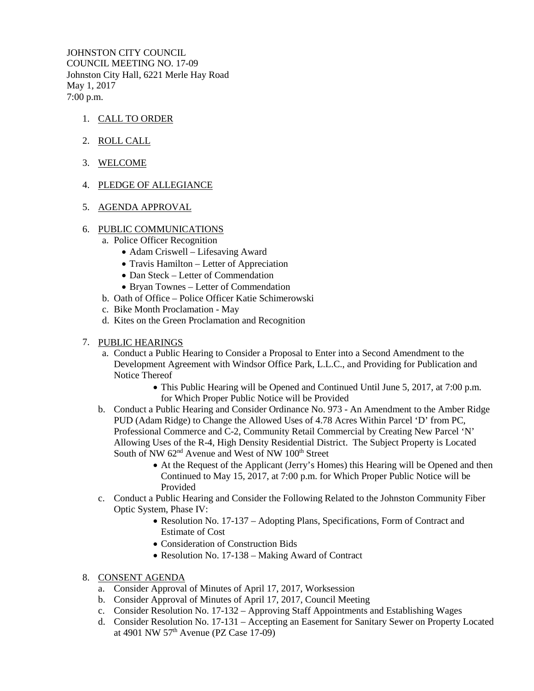JOHNSTON CITY COUNCIL COUNCIL MEETING NO. 17-09 Johnston City Hall, 6221 Merle Hay Road May 1, 2017 7:00 p.m.

- 1. CALL TO ORDER
- 2. ROLL CALL
- 3. WELCOME
- 4. PLEDGE OF ALLEGIANCE
- 5. AGENDA APPROVAL
- 6. PUBLIC COMMUNICATIONS
	- a. Police Officer Recognition
		- Adam Criswell Lifesaving Award
		- Travis Hamilton Letter of Appreciation
		- Dan Steck Letter of Commendation
		- Bryan Townes Letter of Commendation
	- b. Oath of Office Police Officer Katie Schimerowski
	- c. Bike Month Proclamation May
	- d. Kites on the Green Proclamation and Recognition
- 7. PUBLIC HEARINGS
	- a. Conduct a Public Hearing to Consider a Proposal to Enter into a Second Amendment to the Development Agreement with Windsor Office Park, L.L.C., and Providing for Publication and Notice Thereof
		- This Public Hearing will be Opened and Continued Until June 5, 2017, at 7:00 p.m. for Which Proper Public Notice will be Provided
	- b. Conduct a Public Hearing and Consider Ordinance No. 973 An Amendment to the Amber Ridge PUD (Adam Ridge) to Change the Allowed Uses of 4.78 Acres Within Parcel 'D' from PC, Professional Commerce and C-2, Community Retail Commercial by Creating New Parcel 'N' Allowing Uses of the R-4, High Density Residential District. The Subject Property is Located South of NW  $62<sup>nd</sup>$  Avenue and West of NW  $100<sup>th</sup>$  Street
		- At the Request of the Applicant (Jerry's Homes) this Hearing will be Opened and then Continued to May 15, 2017, at 7:00 p.m. for Which Proper Public Notice will be Provided
	- c. Conduct a Public Hearing and Consider the Following Related to the Johnston Community Fiber Optic System, Phase IV:
		- Resolution No. 17-137 Adopting Plans, Specifications, Form of Contract and Estimate of Cost
		- Consideration of Construction Bids
		- Resolution No. 17-138 Making Award of Contract
- 8. CONSENT AGENDA
	- a. Consider Approval of Minutes of April 17, 2017, Worksession
	- b. Consider Approval of Minutes of April 17, 2017, Council Meeting
	- c. Consider Resolution No. 17-132 Approving Staff Appointments and Establishing Wages
	- d. Consider Resolution No. 17-131 Accepting an Easement for Sanitary Sewer on Property Located at 4901 NW 57th Avenue (PZ Case 17-09)